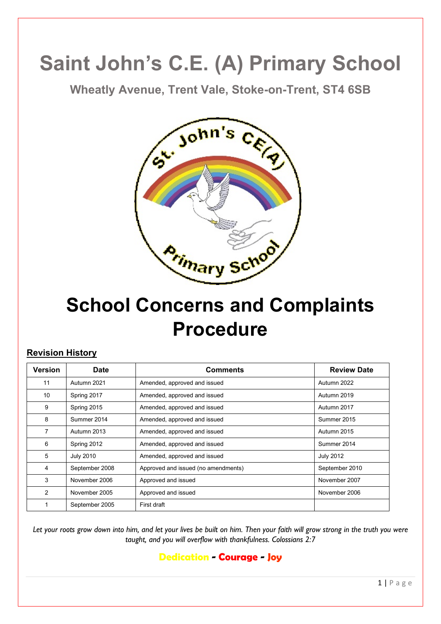# **Saint John's C.E. (A) Primary School**

**Wheatly Avenue, Trent Vale, Stoke-on-Trent, ST4 6SB**



# **School Concerns and Complaints Procedure**

## **Revision History**

| <b>Version</b> | <b>Date</b>      | <b>Comments</b>                     | <b>Review Date</b> |
|----------------|------------------|-------------------------------------|--------------------|
| 11             | Autumn 2021      | Amended, approved and issued        | Autumn 2022        |
| 10             | Spring 2017      | Amended, approved and issued        | Autumn 2019        |
| 9              | Spring 2015      | Amended, approved and issued        | Autumn 2017        |
| 8              | Summer 2014      | Amended, approved and issued        | Summer 2015        |
| $\overline{7}$ | Autumn 2013      | Amended, approved and issued        | Autumn 2015        |
| 6              | Spring 2012      | Amended, approved and issued        | Summer 2014        |
| 5              | <b>July 2010</b> | Amended, approved and issued        | <b>July 2012</b>   |
| 4              | September 2008   | Approved and issued (no amendments) | September 2010     |
| 3              | November 2006    | Approved and issued                 | November 2007      |
| $\overline{2}$ | November 2005    | Approved and issued                 | November 2006      |
|                | September 2005   | First draft                         |                    |

*Let your roots grow down into him, and let your lives be built on him. Then your faith will grow strong in the truth you were taught, and you will overflow with thankfulness. Colossians 2:7*

**Dedication - Courage - Joy**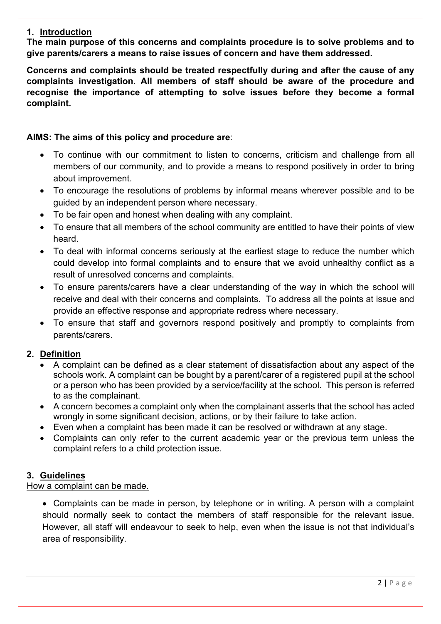#### **1. Introduction**

**The main purpose of this concerns and complaints procedure is to solve problems and to give parents/carers a means to raise issues of concern and have them addressed.**

**Concerns and complaints should be treated respectfully during and after the cause of any complaints investigation. All members of staff should be aware of the procedure and recognise the importance of attempting to solve issues before they become a formal complaint.**

#### **AIMS: The aims of this policy and procedure are**:

- To continue with our commitment to listen to concerns, criticism and challenge from all members of our community, and to provide a means to respond positively in order to bring about improvement.
- To encourage the resolutions of problems by informal means wherever possible and to be guided by an independent person where necessary.
- To be fair open and honest when dealing with any complaint.
- To ensure that all members of the school community are entitled to have their points of view heard.
- To deal with informal concerns seriously at the earliest stage to reduce the number which could develop into formal complaints and to ensure that we avoid unhealthy conflict as a result of unresolved concerns and complaints.
- To ensure parents/carers have a clear understanding of the way in which the school will receive and deal with their concerns and complaints. To address all the points at issue and provide an effective response and appropriate redress where necessary.
- To ensure that staff and governors respond positively and promptly to complaints from parents/carers.

#### **2. Definition**

- A complaint can be defined as a clear statement of dissatisfaction about any aspect of the schools work. A complaint can be bought by a parent/carer of a registered pupil at the school or a person who has been provided by a service/facility at the school. This person is referred to as the complainant.
- A concern becomes a complaint only when the complainant asserts that the school has acted wrongly in some significant decision, actions, or by their failure to take action.
- Even when a complaint has been made it can be resolved or withdrawn at any stage.
- Complaints can only refer to the current academic year or the previous term unless the complaint refers to a child protection issue.

#### **3. Guidelines**

#### How a complaint can be made.

• Complaints can be made in person, by telephone or in writing. A person with a complaint should normally seek to contact the members of staff responsible for the relevant issue. However, all staff will endeavour to seek to help, even when the issue is not that individual's area of responsibility.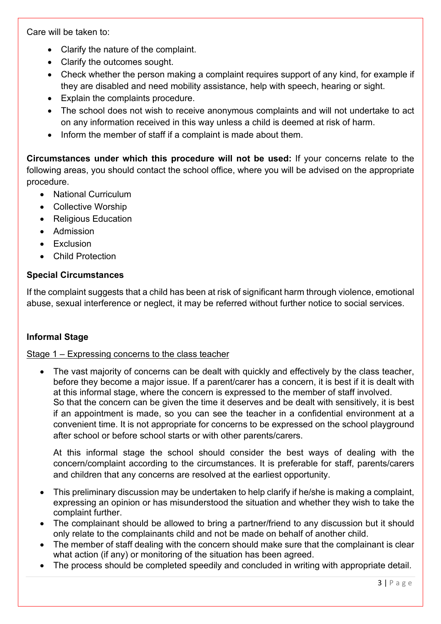Care will be taken to:

- Clarify the nature of the complaint.
- Clarify the outcomes sought.
- Check whether the person making a complaint requires support of any kind, for example if they are disabled and need mobility assistance, help with speech, hearing or sight.
- Explain the complaints procedure.
- The school does not wish to receive anonymous complaints and will not undertake to act on any information received in this way unless a child is deemed at risk of harm.
- Inform the member of staff if a complaint is made about them.

**Circumstances under which this procedure will not be used:** If your concerns relate to the following areas, you should contact the school office, where you will be advised on the appropriate procedure.

- National Curriculum
- Collective Worship
- Religious Education
- Admission
- Exclusion
- Child Protection

#### **Special Circumstances**

If the complaint suggests that a child has been at risk of significant harm through violence, emotional abuse, sexual interference or neglect, it may be referred without further notice to social services.

#### **Informal Stage**

#### Stage 1 – Expressing concerns to the class teacher

The vast majority of concerns can be dealt with quickly and effectively by the class teacher, before they become a major issue. If a parent/carer has a concern, it is best if it is dealt with at this informal stage, where the concern is expressed to the member of staff involved. So that the concern can be given the time it deserves and be dealt with sensitively, it is best if an appointment is made, so you can see the teacher in a confidential environment at a convenient time. It is not appropriate for concerns to be expressed on the school playground after school or before school starts or with other parents/carers.

At this informal stage the school should consider the best ways of dealing with the concern/complaint according to the circumstances. It is preferable for staff, parents/carers and children that any concerns are resolved at the earliest opportunity.

- This preliminary discussion may be undertaken to help clarify if he/she is making a complaint, expressing an opinion or has misunderstood the situation and whether they wish to take the complaint further.
- The complainant should be allowed to bring a partner/friend to any discussion but it should only relate to the complainants child and not be made on behalf of another child.
- The member of staff dealing with the concern should make sure that the complainant is clear what action (if any) or monitoring of the situation has been agreed.
- The process should be completed speedily and concluded in writing with appropriate detail.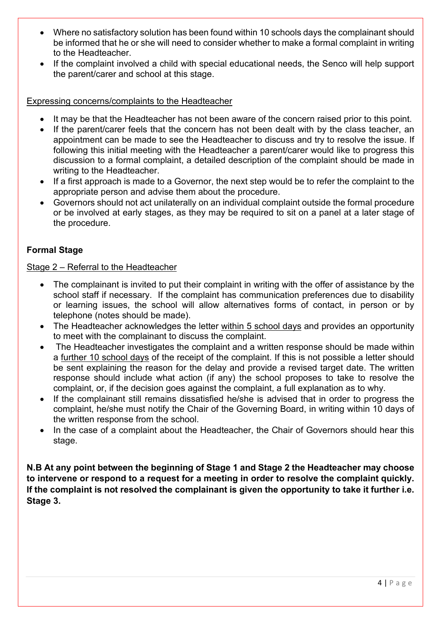- Where no satisfactory solution has been found within 10 schools days the complainant should be informed that he or she will need to consider whether to make a formal complaint in writing to the Headteacher.
- If the complaint involved a child with special educational needs, the Senco will help support the parent/carer and school at this stage.

#### Expressing concerns/complaints to the Headteacher

- It may be that the Headteacher has not been aware of the concern raised prior to this point.
- If the parent/carer feels that the concern has not been dealt with by the class teacher, an appointment can be made to see the Headteacher to discuss and try to resolve the issue. If following this initial meeting with the Headteacher a parent/carer would like to progress this discussion to a formal complaint, a detailed description of the complaint should be made in writing to the Headteacher.
- If a first approach is made to a Governor, the next step would be to refer the complaint to the appropriate person and advise them about the procedure.
- Governors should not act unilaterally on an individual complaint outside the formal procedure or be involved at early stages, as they may be required to sit on a panel at a later stage of the procedure.

#### **Formal Stage**

#### Stage 2 – Referral to the Headteacher

- The complainant is invited to put their complaint in writing with the offer of assistance by the school staff if necessary. If the complaint has communication preferences due to disability or learning issues, the school will allow alternatives forms of contact, in person or by telephone (notes should be made).
- The Headteacher acknowledges the letter within 5 school days and provides an opportunity to meet with the complainant to discuss the complaint.
- The Headteacher investigates the complaint and a written response should be made within a further 10 school days of the receipt of the complaint. If this is not possible a letter should be sent explaining the reason for the delay and provide a revised target date. The written response should include what action (if any) the school proposes to take to resolve the complaint, or, if the decision goes against the complaint, a full explanation as to why.
- If the complainant still remains dissatisfied he/she is advised that in order to progress the complaint, he/she must notify the Chair of the Governing Board, in writing within 10 days of the written response from the school.
- In the case of a complaint about the Headteacher, the Chair of Governors should hear this stage.

**N.B At any point between the beginning of Stage 1 and Stage 2 the Headteacher may choose to intervene or respond to a request for a meeting in order to resolve the complaint quickly. If the complaint is not resolved the complainant is given the opportunity to take it further i.e. Stage 3.**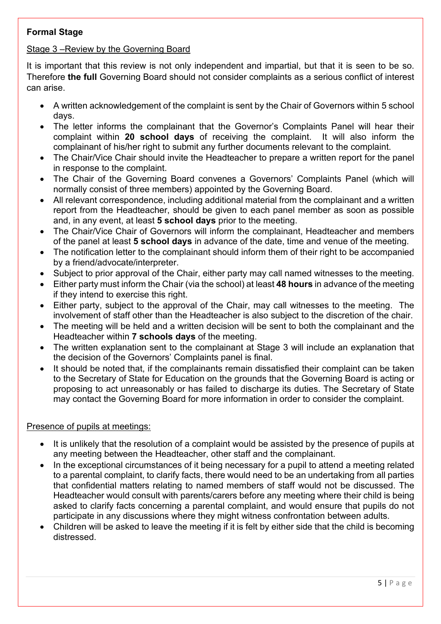#### **Formal Stage**

#### Stage 3 –Review by the Governing Board

It is important that this review is not only independent and impartial, but that it is seen to be so. Therefore **the full** Governing Board should not consider complaints as a serious conflict of interest can arise.

- A written acknowledgement of the complaint is sent by the Chair of Governors within 5 school days.
- The letter informs the complainant that the Governor's Complaints Panel will hear their complaint within **20 school days** of receiving the complaint. It will also inform the complainant of his/her right to submit any further documents relevant to the complaint.
- The Chair/Vice Chair should invite the Headteacher to prepare a written report for the panel in response to the complaint.
- The Chair of the Governing Board convenes a Governors' Complaints Panel (which will normally consist of three members) appointed by the Governing Board.
- All relevant correspondence, including additional material from the complainant and a written report from the Headteacher, should be given to each panel member as soon as possible and, in any event, at least **5 school days** prior to the meeting.
- The Chair/Vice Chair of Governors will inform the complainant, Headteacher and members of the panel at least **5 school days** in advance of the date, time and venue of the meeting.
- The notification letter to the complainant should inform them of their right to be accompanied by a friend/advocate/interpreter.
- Subject to prior approval of the Chair, either party may call named witnesses to the meeting.
- Either party must inform the Chair (via the school) at least **48 hours** in advance of the meeting if they intend to exercise this right.
- Either party, subject to the approval of the Chair, may call witnesses to the meeting. The involvement of staff other than the Headteacher is also subject to the discretion of the chair.
- The meeting will be held and a written decision will be sent to both the complainant and the Headteacher within **7 schools days** of the meeting.
- The written explanation sent to the complainant at Stage 3 will include an explanation that the decision of the Governors' Complaints panel is final.
- It should be noted that, if the complainants remain dissatisfied their complaint can be taken to the Secretary of State for Education on the grounds that the Governing Board is acting or proposing to act unreasonably or has failed to discharge its duties. The Secretary of State may contact the Governing Board for more information in order to consider the complaint.

#### Presence of pupils at meetings:

- It is unlikely that the resolution of a complaint would be assisted by the presence of pupils at any meeting between the Headteacher, other staff and the complainant.
- In the exceptional circumstances of it being necessary for a pupil to attend a meeting related to a parental complaint, to clarify facts, there would need to be an undertaking from all parties that confidential matters relating to named members of staff would not be discussed. The Headteacher would consult with parents/carers before any meeting where their child is being asked to clarify facts concerning a parental complaint, and would ensure that pupils do not participate in any discussions where they might witness confrontation between adults.
- Children will be asked to leave the meeting if it is felt by either side that the child is becoming distressed.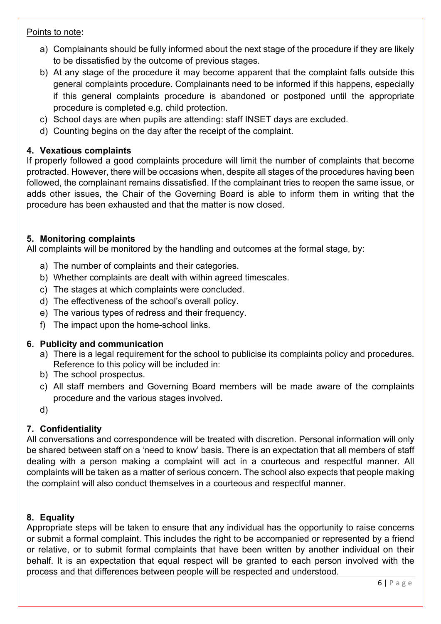#### Points to note**:**

- a) Complainants should be fully informed about the next stage of the procedure if they are likely to be dissatisfied by the outcome of previous stages.
- b) At any stage of the procedure it may become apparent that the complaint falls outside this general complaints procedure. Complainants need to be informed if this happens, especially if this general complaints procedure is abandoned or postponed until the appropriate procedure is completed e.g. child protection.
- c) School days are when pupils are attending: staff INSET days are excluded.
- d) Counting begins on the day after the receipt of the complaint.

#### **4. Vexatious complaints**

If properly followed a good complaints procedure will limit the number of complaints that become protracted. However, there will be occasions when, despite all stages of the procedures having been followed, the complainant remains dissatisfied. If the complainant tries to reopen the same issue, or adds other issues, the Chair of the Governing Board is able to inform them in writing that the procedure has been exhausted and that the matter is now closed.

#### **5. Monitoring complaints**

All complaints will be monitored by the handling and outcomes at the formal stage, by:

- a) The number of complaints and their categories.
- b) Whether complaints are dealt with within agreed timescales.
- c) The stages at which complaints were concluded.
- d) The effectiveness of the school's overall policy.
- e) The various types of redress and their frequency.
- f) The impact upon the home-school links.

#### **6. Publicity and communication**

- a) There is a legal requirement for the school to publicise its complaints policy and procedures. Reference to this policy will be included in:
- b) The school prospectus.
- c) All staff members and Governing Board members will be made aware of the complaints procedure and the various stages involved.
- d)

## **7. Confidentiality**

All conversations and correspondence will be treated with discretion. Personal information will only be shared between staff on a 'need to know' basis. There is an expectation that all members of staff dealing with a person making a complaint will act in a courteous and respectful manner. All complaints will be taken as a matter of serious concern. The school also expects that people making the complaint will also conduct themselves in a courteous and respectful manner.

#### **8. Equality**

Appropriate steps will be taken to ensure that any individual has the opportunity to raise concerns or submit a formal complaint. This includes the right to be accompanied or represented by a friend or relative, or to submit formal complaints that have been written by another individual on their behalf. It is an expectation that equal respect will be granted to each person involved with the process and that differences between people will be respected and understood.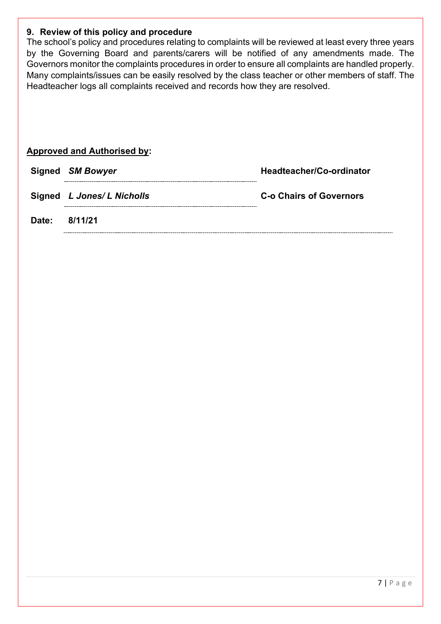#### **9. Review of this policy and procedure**

The school's policy and procedures relating to complaints will be reviewed at least every three years by the Governing Board and parents/carers will be notified of any amendments made. The Governors monitor the complaints procedures in order to ensure all complaints are handled properly. Many complaints/issues can be easily resolved by the class teacher or other members of staff. The Headteacher logs all complaints received and records how they are resolved.

| Headteacher/Co-ordinator                                                                        |
|-------------------------------------------------------------------------------------------------|
| <b>C-o Chairs of Governors</b>                                                                  |
|                                                                                                 |
| <b>Approved and Authorised by:</b><br>Signed SM Bowyer<br>Signed L Jones/ L Nicholls<br>8/11/21 |